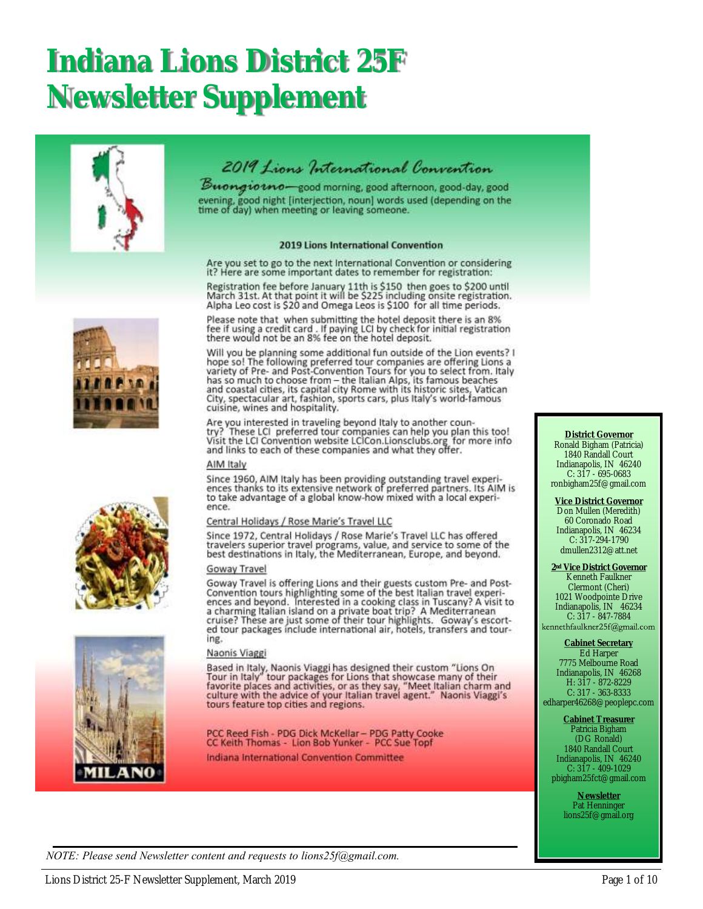## **Indiana Lions District 25F Newsletter Supplement**





Buongiotno-good morning, good afternoon, good-day, good evening, good night [interjection, noun] words used (depending on the<br>time of day) when meeting or leaving someone.

#### 2019 Lions International Convention

Are you set to go to the next International Convention or considering it? Here are some important dates to remember for registration:

Registration fee before January 11th is \$150 then goes to \$200 until<br>March 31st. At that point it will be \$225 including onsite registration. Alpha Leo cost is \$20 and Omega Leos is \$100 for all time periods.

Please note that when submitting the hotel deposit there is an 8%<br>fee if using a credit card . If paying LCI by check for initial registration<br>there would not be an 8% fee on the hotel deposit.

Will you be planning some additional fun outside of the Lion events? I<br>hope so! The following preferred tour companies are offering Lions a Figure sort the Figure and Post-Convention Tours for you to select from. Italy<br>has so much to choose from – the Italian Alps, its famous beaches<br>and coastal cities, its capital city Rome with its historic sites, Vatican<br>Ci cuisine, wines and hospitality.

Are you interested in traveling beyond Italy to another country? These LCI preferred tour companies can help you plan this too!<br>Visit the LCI Convention website LCICon.Lionsclubs.org for more info<br>and links to each of these companies and what they offer.

#### AIM Italy

Since 1960, AIM Italy has been providing outstanding travel experiences thanks to its extensive network of preferred partners. Its AIM is to take advantage of a global know-how mixed with a local experience.

#### Central Holidays / Rose Marie's Travel LLC

Since 1972, Central Holidays / Rose Marie's Travel LLC has offered travelers superior travel programs, value, and service to some of the<br>best destinations in Italy, the Mediterranean, Europe, and beyond.

#### Goway Travel

Goway Travel is offering Lions and their guests custom Pre- and Post-Convention tours highlighting some of the best Italian travel experiences and beyond. Interested in a cooking class in Tuscany? A visit to a charming Ita ing.

#### Naonis Viaggi

Based in Italy, Naonis Viaggi has designed their custom "Lions On<br>Tour in Italy" tour packages for Lions that showcase many of their<br>favorite places and activities, or as they say, "Meet Italian charm and<br>culture with the tours feature top cities and regions.

PCC Reed Fish - PDG Dick McKellar - PDG Patty Cooke<br>CC Kelth Thomas - Lion Bob Yunker - PCC Sue Topf

Indiana International Convention Committee

#### **District Governor** Ronald Bigham (Patricia) 1840 Randall Court Indianapolis, IN 46240 C: 317 - 695-0683 ronbigham25f@gmail.com

**Vice District Governor** Don Mullen (Meredith) 60 Coronado Road Indianapolis, IN 46234 C: 317-294-1790 dmullen2312@att.net

**2nd Vice District Governor** Kenneth Faulkner Clermont (Cheri) 1021 Woodpointe Drive Indianapolis, IN 46234 C:  $317 - 847 - 7884$ <br>kennethfaulkner25f@gmail.com

#### **Cabinet Secretary** Ed Harper

7775 Melbourne Road Indianapolis, IN 46268 H: 317 - 872-8229 C: 317 - 363-8333 edharper46268@peoplepc.com

**Cabinet Treasurer**

Patricia Bigham (DG Ronald) 1840 Randall Court Indianapolis, IN 46240 C: 317 - 409-1029 pbigham25fct@gmail.com

> **Newsletter** Pat Henninger lions25f@gmail.org





*NOTE: Please send Newsletter content and requests to lions25f@gmail.com.*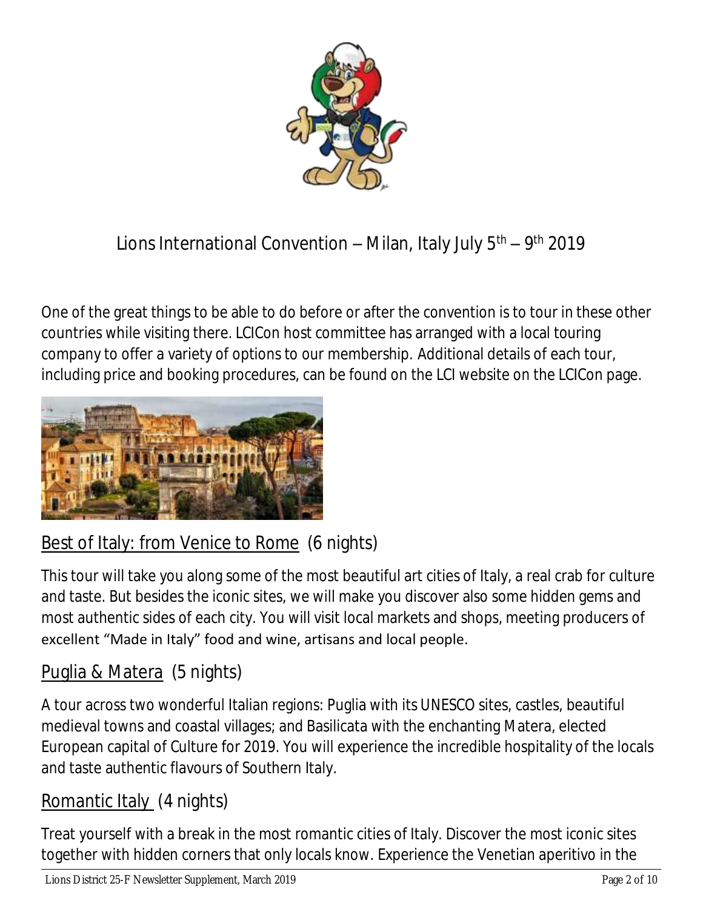

## Lions International Convention – Milan, Italy July 5<sup>th</sup> – 9<sup>th</sup> 2019

One of the great things to be able to do before or after the convention is to tour in these other countries while visiting there. LCICon host committee has arranged with a local touring company to offer a variety of options to our membership. Additional details of each tour, including price and booking procedures, can be found on the LCI website on the LCICon page.



## Best of Italy: from Venice to Rome (6 nights)

This tour will take you along some of the most beautiful art cities of Italy, a real crab for culture and taste. But besides the iconic sites, we will make you discover also some hidden gems and most authentic sides of each city. You will visit local markets and shops, meeting producers of excellent "Made in Italy" food and wine, artisans and local people.

## Puglia & Matera (5 nights)

A tour across two wonderful Italian regions: Puglia with its UNESCO sites, castles, beautiful medieval towns and coastal villages; and Basilicata with the enchanting Matera, elected European capital of Culture for 2019. You will experience the incredible hospitality of the locals and taste authentic flavours of Southern Italy.

## Romantic Italy (4 nights)

Treat yourself with a break in the most romantic cities of Italy. Discover the most iconic sites together with hidden corners that only locals know. Experience the Venetian aperitivo in the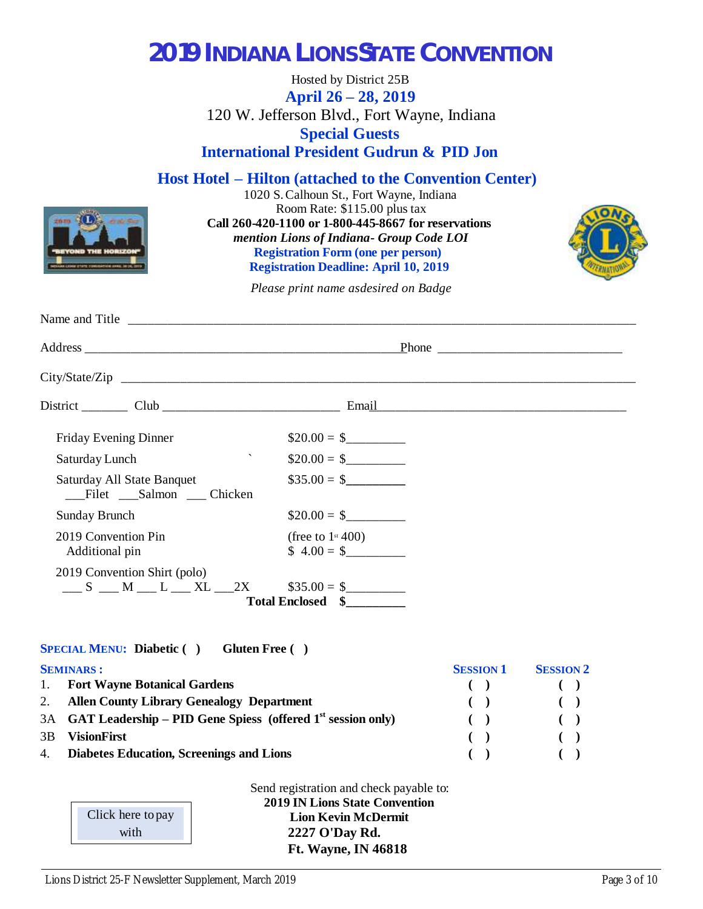## **2019 INDIANA LIONS STATE CONVENTION**

Hosted by District 25B **April 26 – 28, 2019** 120 W. Jefferson Blvd., Fort Wayne, Indiana **Special Guests International President Gudrun & PID Jon**

**Host Hotel – Hilton (attached to the Convention Center)**

1020 S. Calhoun St., Fort Wayne, Indiana Room Rate: \$115.00 plus tax **Call 260-420-1100 or 1-800-445-8667 for reservations**  *mention Lions of Indiana - Group Code LOI* **Registration Form (one per person) Registration Deadline: April 10, 2019**



*Please print name as desired on Badge*

| Friday Evening Dinner                                              | $$20.00 = $$                                   |
|--------------------------------------------------------------------|------------------------------------------------|
| $\overline{\phantom{0}}$<br>Saturday Lunch                         | $$20.00 = $$                                   |
| Saturday All State Banquet<br>Filet Salmon Chicken                 | $\$35.00 = \$$                                 |
| <b>Sunday Brunch</b>                                               | $$20.00 = $$                                   |
| 2019 Convention Pin<br>Additional pin                              | (free to $1$ <sup>st</sup> 400)<br>$$4.00 = $$ |
| 2019 Convention Shirt (polo)<br>$S$ $M$ $L$ $XL$ $2X$ $$35.00 = $$ | Total Enclosed \\$                             |

**SPECIAL MENU: Diabetic ( ) Gluten Free ( )**

| <b>SEMINARS:</b> |                                                                  | <b>SESSION 1</b> | <b>SESSION 2</b>       |  |
|------------------|------------------------------------------------------------------|------------------|------------------------|--|
|                  | 1. Fort Wayne Botanical Gardens                                  |                  |                        |  |
|                  | 2. Allen County Library Genealogy Department                     |                  | $\left( \quad \right)$ |  |
|                  | 3A GAT Leadership – PID Gene Spiess (offered $1st$ session only) | $\sqrt{2}$       |                        |  |
| 3B               | <b>VisionFirst</b>                                               |                  |                        |  |
|                  | 4. Diabetes Education, Screenings and Lions                      |                  |                        |  |

| Click here to pay |
|-------------------|
| with              |

PayPal

Send registration and check payable to: **2019 IN Lions State Convention Lion Kevin McDermit 2227 O'Day Rd. Ft. Wayne, IN 46818**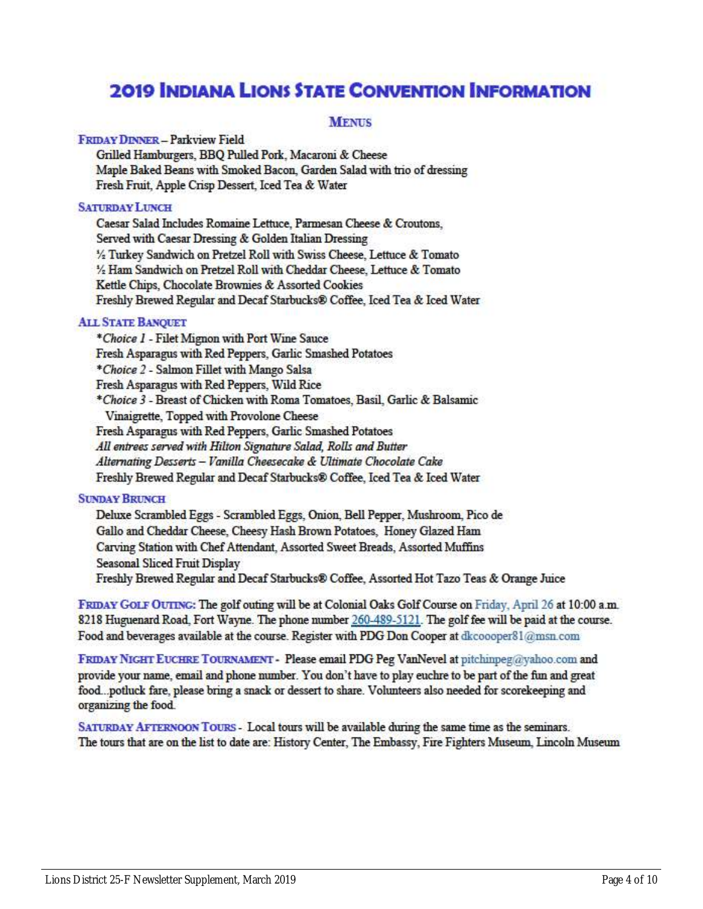## **2019 INDIANA LIONS STATE CONVENTION INFORMATION**

#### **MENUS**

#### **FRIDAY DINNER - Parkview Field**

Grilled Hamburgers, BBQ Pulled Pork, Macaroni & Cheese Maple Baked Beans with Smoked Bacon, Garden Salad with trio of dressing Fresh Fruit, Apple Crisp Dessert, Iced Tea & Water

#### **SATURDAY LUNCH**

Caesar Salad Includes Romaine Lettuce, Parmesan Cheese & Croutons, Served with Caesar Dressing & Golden Italian Dressing 1/2 Turkey Sandwich on Pretzel Roll with Swiss Cheese, Lettuce & Tomato 1/2 Ham Sandwich on Pretzel Roll with Cheddar Cheese, Lettuce & Tomato Kettle Chips, Chocolate Brownies & Assorted Cookies Freshly Brewed Regular and Decaf Starbucks® Coffee, Iced Tea & Iced Water

#### **ALL STATE BANQUET**

\*Choice I - Filet Mignon with Port Wine Sauce Fresh Asparagus with Red Peppers, Garlic Smashed Potatoes \*Choice 2 - Salmon Fillet with Mango Salsa Fresh Asparagus with Red Peppers, Wild Rice \*Choice 3 - Breast of Chicken with Roma Tomatoes, Basil, Garlic & Balsamic Vinaigrette, Topped with Provolone Cheese Fresh Asparagus with Red Peppers, Garlic Smashed Potatoes All entrees served with Hilton Signature Salad, Rolls and Butter Alternating Desserts - Vanilla Cheesecake & Ultimate Chocolate Cake Freshly Brewed Regular and Decaf Starbucks® Coffee, Iced Tea & Iced Water

#### **SUNDAY BRUNCH**

Deluxe Scrambled Eggs - Scrambled Eggs, Onion, Bell Pepper, Mushroom, Pico de Gallo and Cheddar Cheese, Cheesy Hash Brown Potatoes, Honey Glazed Ham Carving Station with Chef Attendant, Assorted Sweet Breads, Assorted Muffins Seasonal Sliced Fruit Display Freshly Brewed Regular and Decaf Starbucks® Coffee, Assorted Hot Tazo Teas & Orange Juice

FRIDAY GOLF OUTING: The golf outing will be at Colonial Oaks Golf Course on Friday, April 26 at 10:00 a.m. 8218 Huguenard Road, Fort Wayne. The phone number 260-489-5121. The golf fee will be paid at the course. Food and beverages available at the course. Register with PDG Don Cooper at dkcooper81@msn.com

FRIDAY NIGHT EUCHRE TOURNAMENT - Please email PDG Peg VanNevel at pitchinpeg@yahoo.com and provide your name, email and phone number. You don't have to play euchre to be part of the fun and great food...potluck fare, please bring a snack or dessert to share. Volunteers also needed for scorekeeping and organizing the food.

SATURDAY AFTERNOON TOURS - Local tours will be available during the same time as the seminars. The tours that are on the list to date are: History Center, The Embassy, Fire Fighters Museum, Lincoln Museum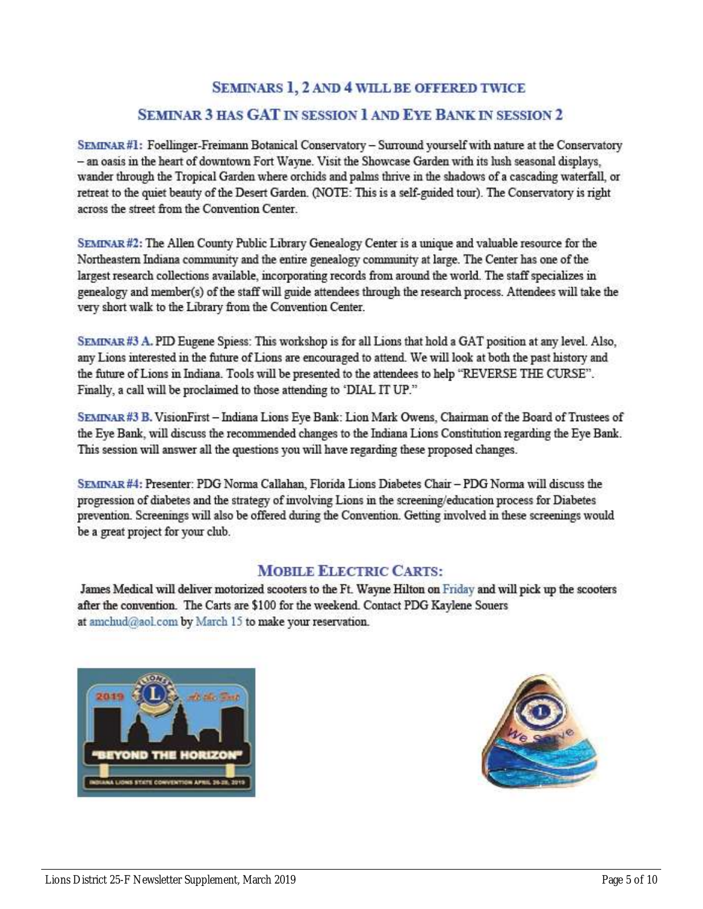#### **SEMINARS 1, 2 AND 4 WILL BE OFFERED TWICE**

#### SEMINAR 3 HAS GAT IN SESSION 1 AND EYE BANK IN SESSION 2

SEMINAR#1: Foellinger-Freimann Botanical Conservatory - Surround yourself with nature at the Conservatory - an oasis in the heart of downtown Fort Wayne. Visit the Showcase Garden with its lush seasonal displays, wander through the Tropical Garden where orchids and palms thrive in the shadows of a cascading waterfall, or retreat to the quiet beauty of the Desert Garden. (NOTE: This is a self-guided tour). The Conservatory is right across the street from the Convention Center.

SEMINAR#2: The Allen County Public Library Genealogy Center is a unique and valuable resource for the Northeastern Indiana community and the entire genealogy community at large. The Center has one of the largest research collections available, incorporating records from around the world. The staff specializes in genealogy and member(s) of the staff will guide attendees through the research process. Attendees will take the very short walk to the Library from the Convention Center.

SEMINAR#3 A. PID Eugene Spiess: This workshop is for all Lions that hold a GAT position at any level. Also, any Lions interested in the future of Lions are encouraged to attend. We will look at both the past history and the future of Lions in Indiana. Tools will be presented to the attendees to help "REVERSE THE CURSE". Finally, a call will be proclaimed to those attending to 'DIAL IT UP."

SEMINAR#3 B. VisionFirst - Indiana Lions Eye Bank: Lion Mark Owens, Chairman of the Board of Trustees of the Eye Bank, will discuss the recommended changes to the Indiana Lions Constitution regarding the Eye Bank. This session will answer all the questions you will have regarding these proposed changes.

SEMINAR#4: Presenter: PDG Norma Callahan, Florida Lions Diabetes Chair - PDG Norma will discuss the progression of diabetes and the strategy of involving Lions in the screening/education process for Diabetes prevention. Screenings will also be offered during the Convention. Getting involved in these screenings would be a great project for your club.

#### **MOBILE ELECTRIC CARTS:**

James Medical will deliver motorized scooters to the Ft. Wayne Hilton on Friday and will pick up the scooters after the convention. The Carts are \$100 for the weekend. Contact PDG Kaylene Souers at amchud@aol.com by March 15 to make your reservation.



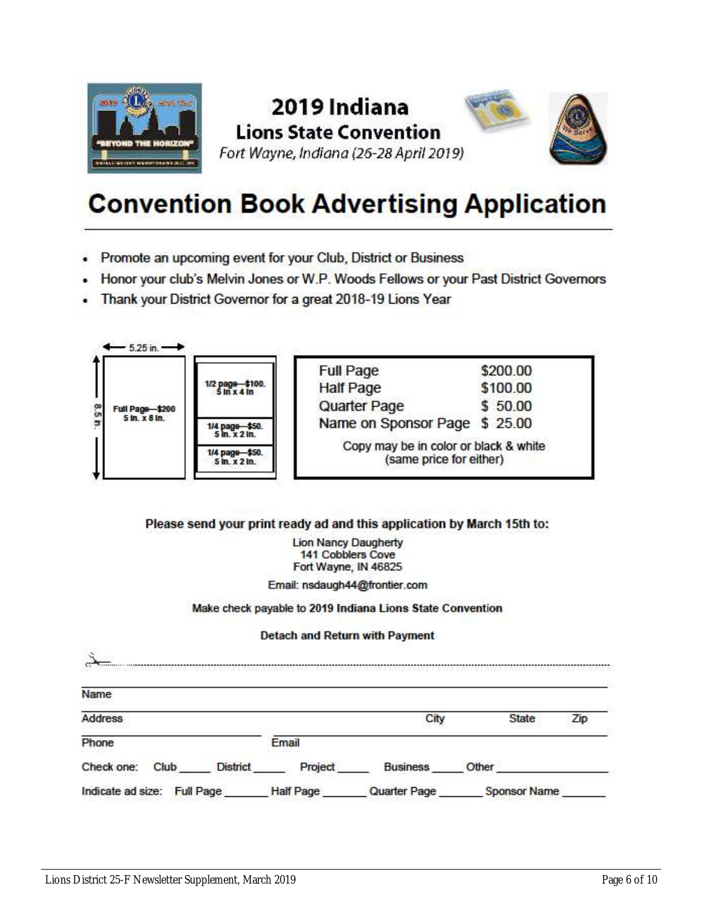

### 2019 Indiana **Lions State Convention** Fort Wayne, Indiana (26-28 April 2019)



## **Convention Book Advertising Application**

- Promote an upcoming event for your Club, District or Business
- Honor your club's Melvin Jones or W.P. Woods Fellows or your Past District Governors
- Thank your District Governor for a great 2018-19 Lions Year



#### Please send your print ready ad and this application by March 15th to:

**Lion Nancy Daugherty 141 Cobblers Cove** Fort Wayne, IN 46825

Email: nsdaugh44@frontier.com

Make check payable to 2019 Indiana Lions State Convention

#### Detach and Return with Payment

| Name               |                 |         |                 |              |     |
|--------------------|-----------------|---------|-----------------|--------------|-----|
| Address            |                 |         | City            | <b>State</b> | Zip |
| Phone              |                 | Email   |                 |              |     |
| Check one:<br>Club | <b>District</b> | Project | <b>Business</b> | Other        |     |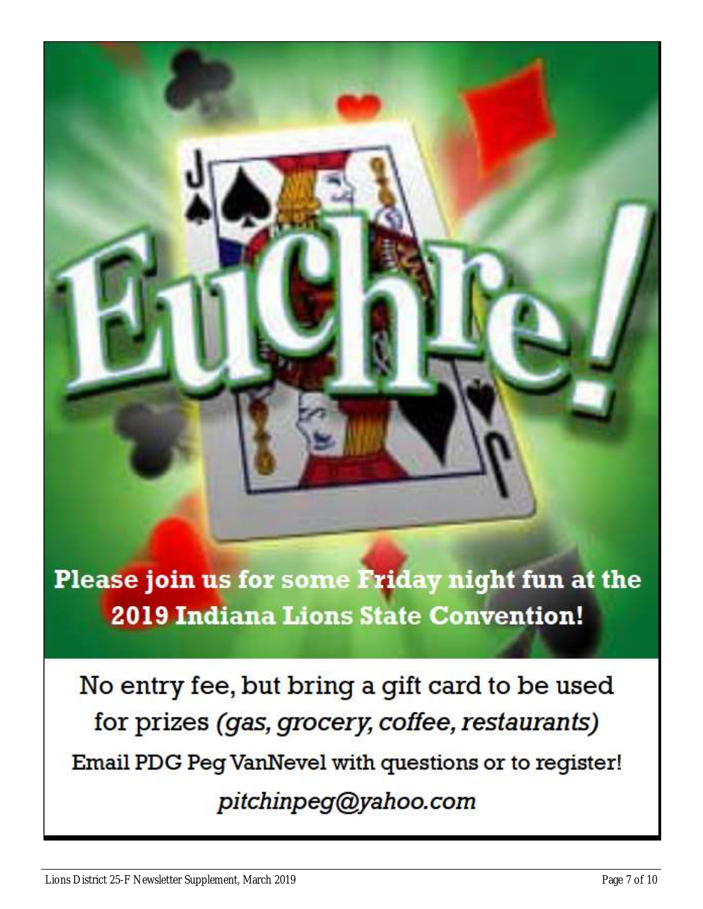Please join us for some Friday night fun at the **2019 Indiana Lions State Convention!** 

No entry fee, but bring a gift card to be used for prizes (gas, grocery, coffee, restaurants) Email PDG Peg VanNevel with questions or to register! pitchinpeg@yahoo.com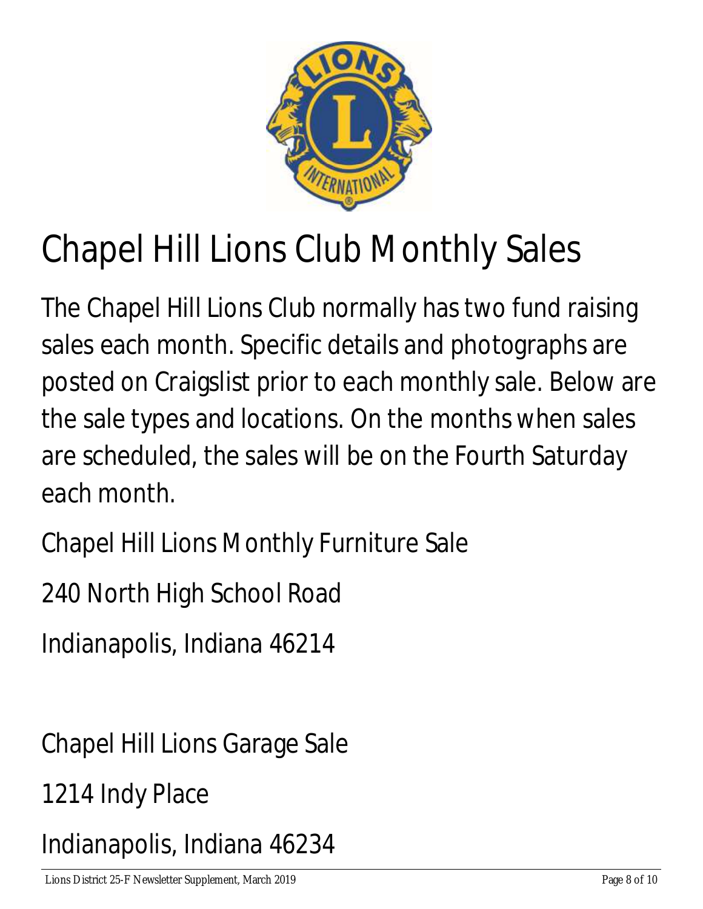

# Chapel Hill Lions Club Monthly Sales

The Chapel Hill Lions Club normally has two fund raising sales each month. Specific details and photographs are posted on Craigslist prior to each monthly sale. Below are the sale types and locations. On the months when sales are scheduled, the sales will be on the Fourth Saturday each month.

Chapel Hill Lions Monthly Furniture Sale

240 North High School Road

Indianapolis, Indiana 46214

Chapel Hill Lions Garage Sale

1214 Indy Place

Indianapolis, Indiana 46234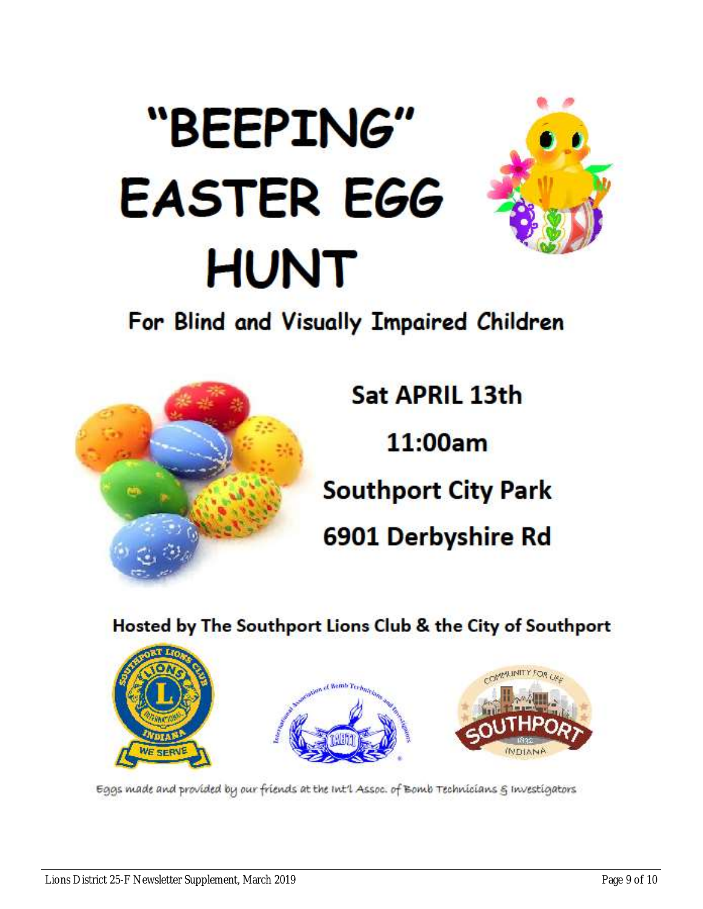# "BEEPING" **EASTER EGG HUNT**



## For Blind and Visually Impaired Children



Sat APRIL 13th 11:00am **Southport City Park** 6901 Derbyshire Rd

Hosted by The Southport Lions Club & the City of Southport







Eggs made and provided by our friends at the Int'l Assoc. of Bomb Technicians & Investigators